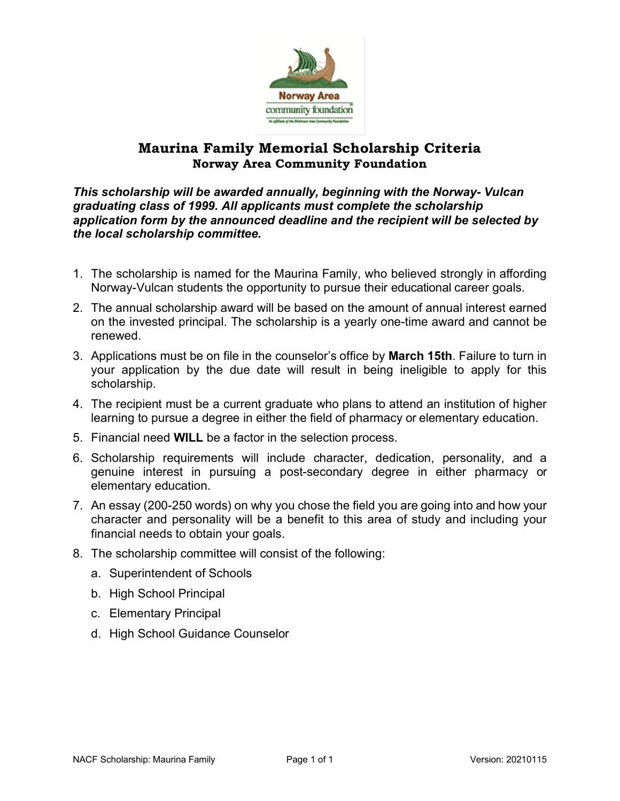

## **Maurina Family Memorial Scholarship Criteria Norway Area Community Foundation**

*This scholarship will be awarded annually, beginning with the Norway- Vulcan graduating class of 1999. All applicants must complete the scholarship application form by the announced deadline and the recipient will be selected by the local scholarship committee.*

- 1. The scholarship is named for the Maurina Family, who believed strongly in affording Norway-Vulcan students the opportunity to pursue their educational career goals.
- 2. The annual scholarship award will be based on the amount of annual interest earned on the invested principal. The scholarship is a yearly one-time award and cannot be renewed.
- 3. Applications must be on file in the counselor's office by **March 15th**. Failure to turn in your application by the due date will result in being ineligible to apply for this scholarship.
- 4. The recipient must be a current graduate who plans to attend an institution of higher learning to pursue a degree in either the field of pharmacy or elementary education.
- 5. Financial need **WILL** be a factor in the selection process.
- 6. Scholarship requirements will include character, dedication, personality, and a genuine interest in pursuing a post-secondary degree in either pharmacy or elementary education.
- 7. An essay (200-250 words) on why you chose the field you are going into and how your character and personality will be a benefit to this area of study and including your financial needs to obtain your goals.
- 8. The scholarship committee will consist of the following:
	- a. Superintendent of Schools
	- b. High School Principal
	- c. Elementary Principal
	- d. High School Guidance Counselor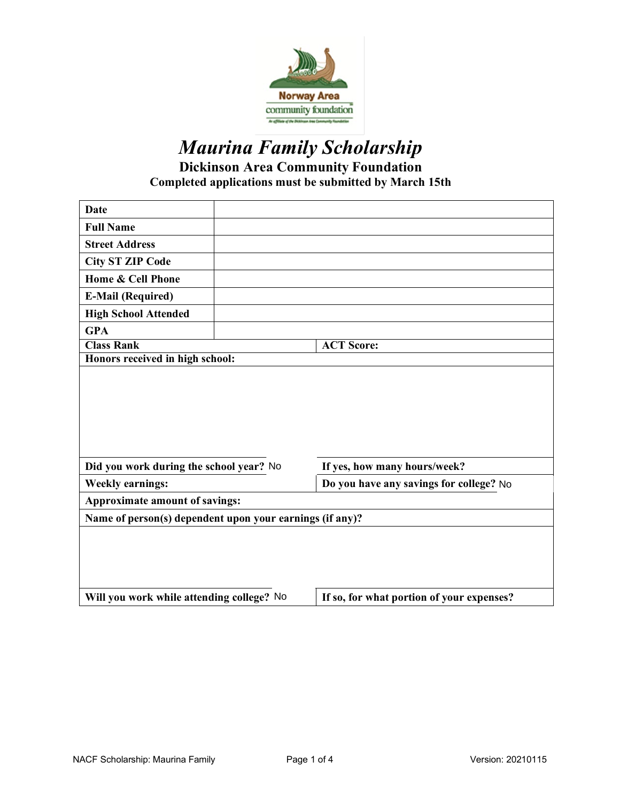

# *Maurina Family Scholarship* **Dickinson Area Community Foundation Completed applications must be submitted by March 15th**

| Date                                                     |  |                                         |  |
|----------------------------------------------------------|--|-----------------------------------------|--|
| <b>Full Name</b>                                         |  |                                         |  |
| <b>Street Address</b>                                    |  |                                         |  |
| <b>City ST ZIP Code</b>                                  |  |                                         |  |
| Home & Cell Phone                                        |  |                                         |  |
| <b>E-Mail (Required)</b>                                 |  |                                         |  |
| <b>High School Attended</b>                              |  |                                         |  |
| <b>GPA</b>                                               |  |                                         |  |
| <b>Class Rank</b>                                        |  | <b>ACT Score:</b>                       |  |
| Honors received in high school:                          |  |                                         |  |
| Did you work during the school year? No                  |  | If yes, how many hours/week?            |  |
|                                                          |  |                                         |  |
| <b>Weekly earnings:</b>                                  |  | Do you have any savings for college? No |  |
| Approximate amount of savings:                           |  |                                         |  |
| Name of person(s) dependent upon your earnings (if any)? |  |                                         |  |
|                                                          |  |                                         |  |
| Will you work while attending college? No                |  |                                         |  |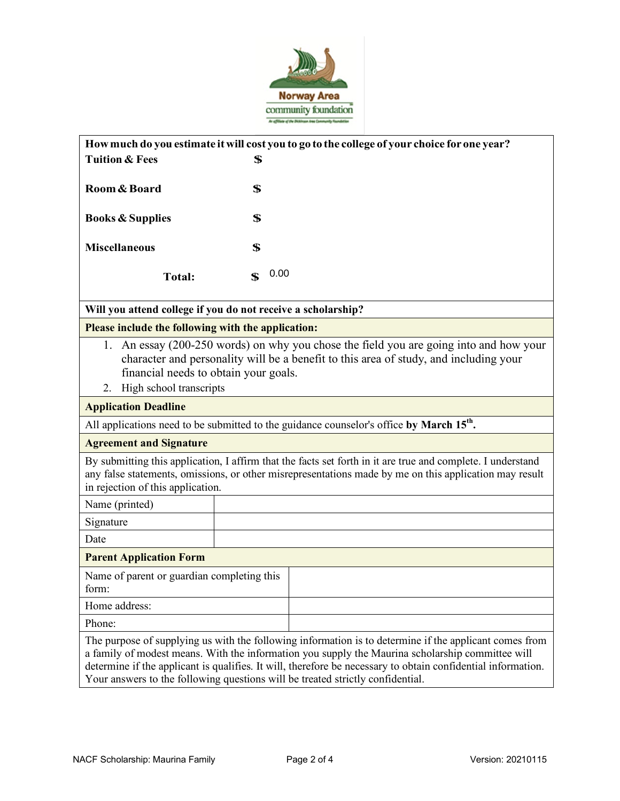

|                                                                                                                                                                                                                                                            | How much do you estimate it will cost you to go to the college of your choice for one year?                                                                                                                                                                                                                                |  |  |
|------------------------------------------------------------------------------------------------------------------------------------------------------------------------------------------------------------------------------------------------------------|----------------------------------------------------------------------------------------------------------------------------------------------------------------------------------------------------------------------------------------------------------------------------------------------------------------------------|--|--|
| <b>Tuition &amp; Fees</b>                                                                                                                                                                                                                                  | \$                                                                                                                                                                                                                                                                                                                         |  |  |
| Room & Board                                                                                                                                                                                                                                               | \$                                                                                                                                                                                                                                                                                                                         |  |  |
| <b>Books &amp; Supplies</b>                                                                                                                                                                                                                                | \$                                                                                                                                                                                                                                                                                                                         |  |  |
| <b>Miscellaneous</b>                                                                                                                                                                                                                                       | \$                                                                                                                                                                                                                                                                                                                         |  |  |
| <b>Total:</b>                                                                                                                                                                                                                                              | 0.00<br>$\mathbf S$                                                                                                                                                                                                                                                                                                        |  |  |
| Will you attend college if you do not receive a scholarship?                                                                                                                                                                                               |                                                                                                                                                                                                                                                                                                                            |  |  |
| Please include the following with the application:                                                                                                                                                                                                         |                                                                                                                                                                                                                                                                                                                            |  |  |
| 1. An essay (200-250 words) on why you chose the field you are going into and how your<br>character and personality will be a benefit to this area of study, and including your<br>financial needs to obtain your goals.<br>High school transcripts<br>2.  |                                                                                                                                                                                                                                                                                                                            |  |  |
| <b>Application Deadline</b>                                                                                                                                                                                                                                |                                                                                                                                                                                                                                                                                                                            |  |  |
| All applications need to be submitted to the guidance counselor's office by March 15 <sup>th</sup> .                                                                                                                                                       |                                                                                                                                                                                                                                                                                                                            |  |  |
| <b>Agreement and Signature</b>                                                                                                                                                                                                                             |                                                                                                                                                                                                                                                                                                                            |  |  |
| By submitting this application, I affirm that the facts set forth in it are true and complete. I understand<br>any false statements, omissions, or other misrepresentations made by me on this application may result<br>in rejection of this application. |                                                                                                                                                                                                                                                                                                                            |  |  |
| Name (printed)                                                                                                                                                                                                                                             |                                                                                                                                                                                                                                                                                                                            |  |  |
| Signature                                                                                                                                                                                                                                                  |                                                                                                                                                                                                                                                                                                                            |  |  |
| Date                                                                                                                                                                                                                                                       |                                                                                                                                                                                                                                                                                                                            |  |  |
| <b>Parent Application Form</b>                                                                                                                                                                                                                             |                                                                                                                                                                                                                                                                                                                            |  |  |
| Name of parent or guardian completing this<br>form:                                                                                                                                                                                                        |                                                                                                                                                                                                                                                                                                                            |  |  |
| Home address:                                                                                                                                                                                                                                              |                                                                                                                                                                                                                                                                                                                            |  |  |
| Phone:                                                                                                                                                                                                                                                     |                                                                                                                                                                                                                                                                                                                            |  |  |
|                                                                                                                                                                                                                                                            | The purpose of supplying us with the following information is to determine if the applicant comes from<br>a family of modest means. With the information you supply the Maurina scholarship committee will<br>determine if the applicant is qualifies. It will, therefore be necessary to obtain confidential information. |  |  |

Your answers to the following questions will be treated strictly confidential.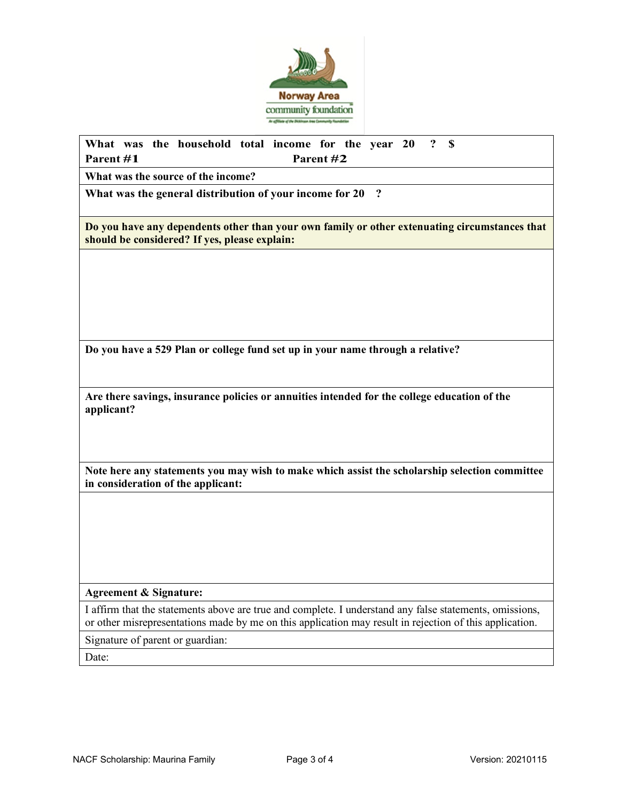

### **What was the household total income for the year 20 ? \$ Parent #1 Parent #2**

**What was the source of the income?**

**What was the general distribution of your income for 20 ?**

**Do you have any dependents other than your own family or other extenuating circumstances that should be considered? If yes, please explain:**

**Do you have a 529 Plan or college fund set up in your name through a relative?**

**Are there savings, insurance policies or annuities intended for the college education of the applicant?**

**Note here any statements you may wish to make which assist the scholarship selection committee in consideration of the applicant:**

#### **Agreement & Signature:**

I affirm that the statements above are true and complete. I understand any false statements, omissions, or other misrepresentations made by me on this application may result in rejection of this application.

Signature of parent or guardian:

Date: